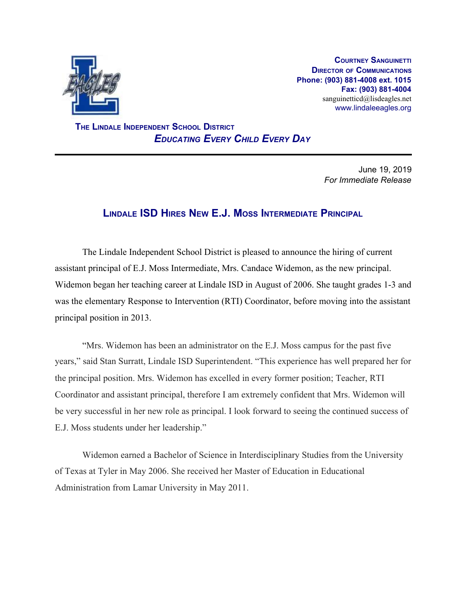

**COURTNEY SANGUINETTI DIRECTOR OF COMMUNICATIONS Phone: (903) 881-4008 ext. 1015 Fax: (903) 881-4004** sanguinetticd@lisdeagles.net www.lindaleeagles.org

 **THE LINDALE INDEPENDENT SCHOOL DISTRICT** *EDUCATING EVERY CHILD EVERY DAY*

> June 19, 2019 *For Immediate Release*

## **LINDALE ISD HIRES NEW E.J. MOSS INTERMEDIATE PRINCIPAL**

The Lindale Independent School District is pleased to announce the hiring of current assistant principal of E.J. Moss Intermediate, Mrs. Candace Widemon, as the new principal. Widemon began her teaching career at Lindale ISD in August of 2006. She taught grades 1-3 and was the elementary Response to Intervention (RTI) Coordinator, before moving into the assistant principal position in 2013.

"Mrs. Widemon has been an administrator on the E.J. Moss campus for the past five years," said Stan Surratt, Lindale ISD Superintendent. "This experience has well prepared her for the principal position. Mrs. Widemon has excelled in every former position; Teacher, RTI Coordinator and assistant principal, therefore I am extremely confident that Mrs. Widemon will be very successful in her new role as principal. I look forward to seeing the continued success of E.J. Moss students under her leadership."

Widemon earned a Bachelor of Science in Interdisciplinary Studies from the University of Texas at Tyler in May 2006. She received her Master of Education in Educational Administration from Lamar University in May 2011.